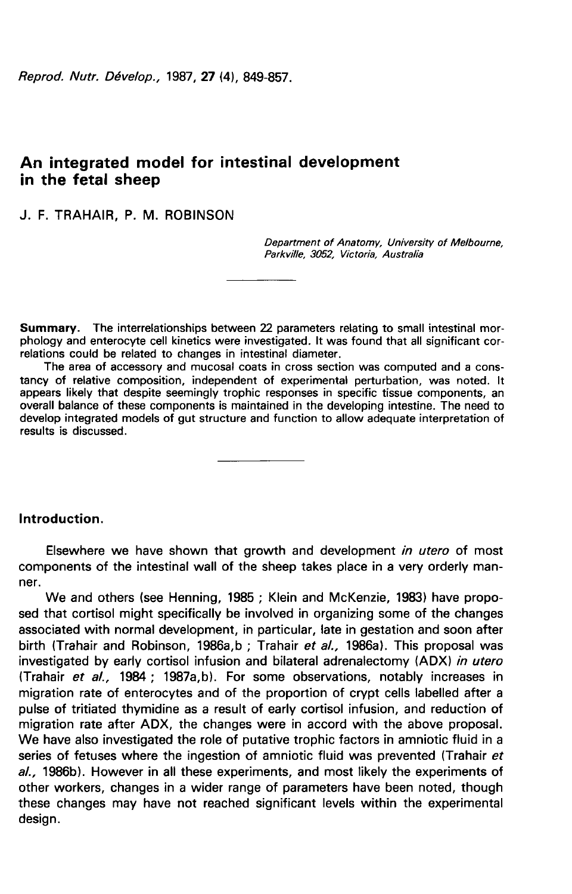Reprod. Nutr. Dévelop., 1987, 27 (4), 849-857.

# An integrated model for intestinal development in the fetal sheep

J. F. TRAHAIR, P. M. ROBINSON

Department of Anatomy, University of Melbourne, Parkville, 3052, Victoria, Australia

Summary. The interrelationships between 22 parameters relating to small intestinal morphology and enterocyte cell kinetics were investigated. It was found that all significant correlations could be related to changes in intestinal diameter.

The area of accessory and mucosal coats in cross section was computed and a constancy of relative composition, independent of experimental perturbation, was noted. It appears likely that despite seemingly trophic responses in specific tissue components, an overall balance of these components is maintained in the developing intestine. The need to develop integrated models of gut structure and function to allow adequate interpretation of results is discussed.

Introduction.

Elsewhere we have shown that growth and development in utero of most components of the intestinal wall of the sheep takes place in a very orderly manner.

We and others (see Henning, 1985 ; Klein and McKenzie, 1983) have proposed that cortisol might specifically be involved in organizing some of the changes associated with normal development, in particular, late in gestation and soon after birth (Trahair and Robinson, 1986a,b; Trahair et al., 1986a). This proposal was investigated by early cortisol infusion and bilateral adrenalectomy (ADX) in utero (Trahair et al., 1984 ; 1987a,b). For some observations, notably increases in migration rate of enterocytes and of the proportion of crypt cells labelled after a pulse of tritiated thymidine as a result of early cortisol infusion, and reduction of migration rate after ADX, the changes were in accord with the above proposal. We have also investigated the role of putative trophic factors in amniotic fluid in a series of fetuses where the ingestion of amniotic fluid was prevented (Trahair et al., 1986b). However in all these experiments, and most likely the experiments of other workers, changes in a wider range of parameters have been noted, though these changes may have not reached significant levels within the experimental design.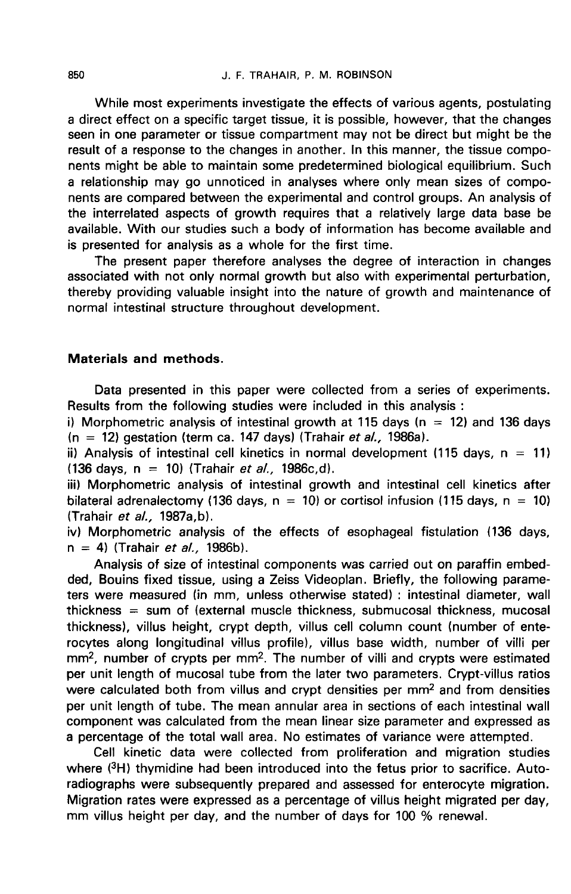While most experiments investigate the effects of various agents, postulating a direct effect on a specific target tissue, it is possible, however, that the changes seen in one parameter or tissue compartment may not be direct but might be the result of a response to the changes in another. In this manner, the tissue components might be able to maintain some predetermined biological equilibrium. Such a relationship may go unnoticed in analyses where only mean sizes of components are compared between the experimental and control groups. An analysis of the interrelated aspects of growth requires that a relatively large data base be available. With our studies such a body of information has become available and is presented for analysis as a whole for the first time.

The present paper therefore analyses the degree of interaction in changes associated with not only normal growth but also with experimental perturbation, thereby providing valuable insight into the nature of growth and maintenance of normal intestinal structure throughout development.

# Materials and methods.

Data presented in this paper were collected from a series of experiments. Results from the following studies were included in this analysis :

i) Morphometric analysis of intestinal growth at 115 days ( $n = 12$ ) and 136 days  $(n = 12)$  gestation (term ca. 147 days) (Trahair et al., 1986a).

ii) Analysis of intestinal cell kinetics in normal development (115 days,  $n = 11$ ) (136 days,  $n = 10$ ) (Trahair *et al.*, 1986c,d).

iii) Morphometric analysis of intestinal growth and intestinal cell kinetics after bilateral adrenalectomy (136 days,  $n = 10$ ) or cortisol infusion (115 days,  $n = 10$ ) (Trahair et al., 1987a,b).

iv) Morphometric analysis of the effects of esophageal fistulation (136 days, n = 4) (Trahair *et al.,* 1986b).

Analysis of size of intestinal components was carried out on paraffin embedded, Bouins fixed tissue, using a Zeiss Videoplan. Briefly, the following parameters were measured (in mm, unless otherwise stated) : intestinal diameter, wall thickness = sum of (external muscle thickness, submucosal thickness, mucosal thickness), villus height, crypt depth, villus cell column count (number of enterocytes along longitudinal villus profile), villus base width, number of villi per thickness), villus height, crypt depth, villus cell column count (number of ente-<br>rocytes along longitudinal villus profile), villus base width, number of villi per<br>mm<sup>2</sup>, number of crypts per mm<sup>2</sup>. The number of villi an per unit length of mucosal tube from the later two parameters. Crypt-villus ratios<br>were calculated both from villus and crypt densities per mm<sup>2</sup> and from densities per unit length of tube. The mean annular area in sections of each intestinal wall component was calculated from the mean linear size parameter and expressed as a percentage of the total wall area. No estimates of variance were attempted.

Cell kinetic data were collected from proliferation and migration studies where (<sup>3</sup>H) thymidine had been introduced into the fetus prior to sacrifice. Autoradiographs were subsequently prepared and assessed for enterocyte migration. Migration rates were expressed as a percentage of villus height migrated per day,<br>mm villus height per day, and the number of days for 100 % renewal.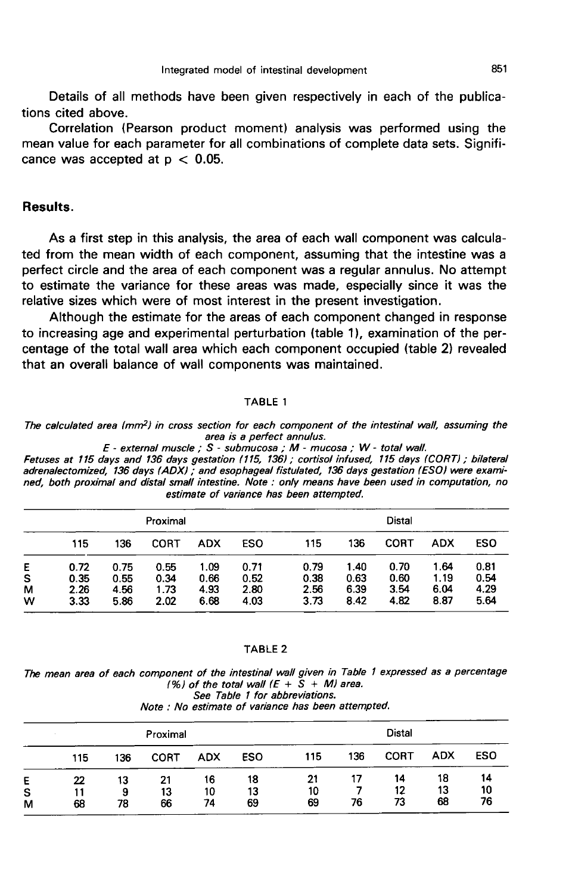Details of all methods have been given respectively in each of the publications cited above.

Correlation (Pearson product moment) analysis was performed using the mean value for each parameter for all combinations of complete data sets. Signifi cance was accepted at  $p < 0.05$ .

## Results.

As a first step in this analysis, the area of each wall component was calculated from the mean width of each component, assuming that the intestine was a perfect circle and the area of each component was a regular annulus. No attempt to estimate the variance for these areas was made, especially since it was the relative sizes which were of most interest in the present investigation.

Although the estimate for the areas of each component changed in response to increasing age and experimental perturbation (table 11, examination of the percentage of the total wall area which each component occupied (table 2) revealed that an overall balance of wall components was maintained.

#### TABLE 1

The calculated area (mm<sup>2</sup>) in cross section for each component of the intestinal wall, assuming the area is a perfect annulus.

E - external muscle ; S - submucosa ; M - mucosa ; W - total wall. Fetuses at 115 days and 136 days gestation (115, 136); cortisol infused, 115 days (CORT); bilateral adrenalectomized, 136 days (ADX); and esophageal fistulated, 136 days gestation (ESO) were examined, both proximal and distal small intestine. Note : only means have been used in computation, no estimate of variance has been attempted.

|   | Proximal |      |      |      |            |      | <b>Distal</b> |      |      |      |  |  |
|---|----------|------|------|------|------------|------|---------------|------|------|------|--|--|
|   | 115      | 136  | CORT | ADX  | <b>ESO</b> | 115  | 136           | CORT | ADX  | ESO  |  |  |
| Ε | 0.72     | 0.75 | 0.55 | 1.09 | 0.71       | 0.79 | 1.40          | 0.70 | 1.64 | 0.81 |  |  |
| S | 0.35     | 0.55 | 0.34 | 0.66 | 0.52       | 0.38 | 0.63          | 0.60 | 1.19 | 0.54 |  |  |
| М | 2.26     | 4.56 | 1.73 | 4.93 | 2.80       | 2.56 | 6.39          | 3.54 | 6.04 | 4.29 |  |  |
| w | 3.33     | 5.86 | 2.02 | 6.68 | 4.03       | 3.73 | 8.42          | 4.82 | 8.87 | 5.64 |  |  |

#### TABLE 2

The mean area of each component of the intestinal wall given in Table 1 expressed as a percentage  $(%)$  of the total wall  $(E + S + M)$  area. See Table 1 for abbreviations.

Note : No estimate of variance has been attempted.

|        |     |         | Proximal    |            |            |          |     | <b>Distal</b> |            |            |
|--------|-----|---------|-------------|------------|------------|----------|-----|---------------|------------|------------|
|        | 115 | 136     | <b>CORT</b> | <b>ADX</b> | <b>ESO</b> | 115      | 136 | CORT          | <b>ADX</b> | <b>ESO</b> |
| Е      | 22  | 13      | 21          | 16         | 18         | 21       | 17  | 14            | 18         | 14         |
| S<br>М | 68  | 9<br>78 | 13<br>66    | 10<br>74   | 13<br>69   | 10<br>69 | 76  | 12<br>73      | 13<br>68   | 10<br>76   |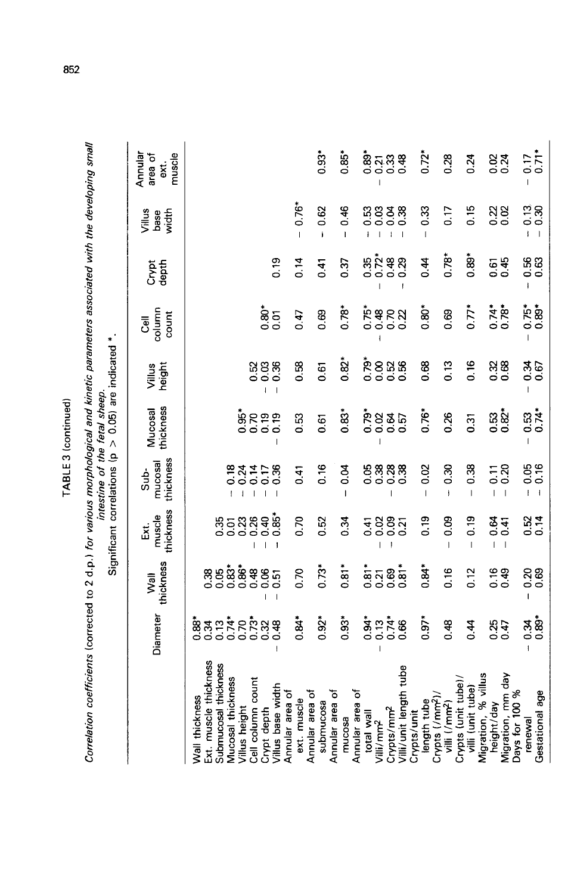TABLE 3 (continued)

Correlation coefficients (corrected to 2 d.p.) for various morphological and kinetic parameters associated with the developing small<br>intestine of the feature of the feal sheep.<br>Significant correlations (p  $>0.05$ ) are indi

|                                                         | Diameter                                                  | thickness<br>Wall                   | thickness<br>muscle<br>ξ.                 | thickness<br>mucosal<br>śuś | thickness<br>Mucosal | Villus<br>height               | Cell<br>column<br>count   | Crypt<br>depth | Villus<br>base<br>width | Annular<br>muscle<br>area of<br>ext. |
|---------------------------------------------------------|-----------------------------------------------------------|-------------------------------------|-------------------------------------------|-----------------------------|----------------------|--------------------------------|---------------------------|----------------|-------------------------|--------------------------------------|
| Ext. muscle thickness<br>Wall thickness                 | $\frac{8}{3}$                                             | 0.38                                |                                           |                             |                      |                                |                           |                |                         |                                      |
| Submucosal thickness                                    |                                                           | 0.05                                | 0.35                                      |                             |                      |                                |                           |                |                         |                                      |
| Mucosal thickness                                       |                                                           | $\frac{3}{88}$                      | 5888<br>0000                              | 0.18                        |                      |                                |                           |                |                         |                                      |
| Villus height                                           |                                                           |                                     |                                           |                             | $0.95*$              |                                |                           |                |                         |                                      |
| Cell column count                                       |                                                           | 0.48                                | $\mathbf{I}$                              | 지보는<br>이이                   | 0.70                 | 0.52                           |                           |                |                         |                                      |
| villus base width<br>Crypt depth                        | 0.48                                                      | 0.06<br>0.51<br>Ĺ<br>$\overline{1}$ | $0.85*$<br>$\overline{1}$<br>$\mathbf{I}$ | 0.36                        | 0.19<br>0.19<br>1    | 0.03<br>0.36<br>$\overline{1}$ | $0.80*$<br>$\overline{5}$ | 0.19           |                         |                                      |
| Annular area of                                         |                                                           |                                     |                                           |                             |                      |                                |                           |                |                         |                                      |
| ext. muscle                                             | $0.84*$                                                   | 0.70                                | 0.70                                      | 0.41                        | 0.53                 | 0.58                           | 0.47                      | 0.14           | $0.76*$                 |                                      |
| Annular area of                                         |                                                           |                                     |                                           |                             |                      |                                |                           |                |                         |                                      |
| submucosa                                               | $0.92*$                                                   | $0.73*$                             | 0.52                                      | 0.16                        | 0.61                 | 0.61                           | 0.69                      | 0.41           | 0.62                    | $\rm 93^*$                           |
| Annular area of                                         |                                                           |                                     |                                           |                             |                      |                                |                           |                |                         |                                      |
| mucosa                                                  | $0.93*$                                                   | $0.81*$                             | 0.34                                      | 0.04<br>T                   | $0.83*$              | $0.82*$                        | $0.78*$                   | 0.37           | 0.46                    | $0.85*$                              |
| Annular area of                                         |                                                           |                                     |                                           |                             |                      |                                |                           |                |                         |                                      |
| total wall                                              | $0.94*$                                                   |                                     | 0.41                                      |                             |                      | $0.79*$                        | $0.75*$                   | 9.35<br>០.7    | $\mathbf{i}$            | <u>හි</u>                            |
| Villi/mm <sup>2</sup>                                   | $0.74$<br>$0.06$                                          | ្តុំ<br>ភូរា<br>០០០                 | ខ្លួនភ្ន<br>Ī                             | 8888<br>0000                | .<br>ನಿ<br>ನಂತ       | 888<br>888                     | 88<br>0.70                |                | នួនទំនួ<br>ដូចខ្ទុ      | 0.21                                 |
| Crypts/mm <sup>2</sup>                                  |                                                           |                                     | $\mathbf{I}$                              | $\overline{1}$              |                      |                                |                           | 0.48           |                         | 0.33                                 |
| Villi/unit length tube                                  |                                                           | $0.81*$                             |                                           |                             | 0.57                 |                                | 0.22                      | 0.29           |                         | 0.48                                 |
| Crypts/unit                                             |                                                           |                                     |                                           |                             |                      |                                |                           |                |                         |                                      |
| length tube                                             | $0.97*$                                                   | 680                                 | 0.19                                      | 0.02<br>$\overline{1}$      | $0.76*$              | 0.68                           | $0.80*$                   | 0.44           | 0.33<br>$\overline{1}$  | $0.72*$                              |
| Crypts (/mm <sup>2</sup> )<br>villi (/mm <sup>2</sup> ) | 0.48                                                      | 0.16                                | 0.09<br>$\mathbf{I}$                      | 0.30<br>Ì                   | 0.26                 | 0.13                           | 0.69                      | $0.78*$        | 0.17                    | 0.28                                 |
| Crypts (unit tube)                                      |                                                           |                                     |                                           |                             |                      |                                |                           |                |                         |                                      |
| villi (unit tube)                                       | 0.44                                                      | 0.12                                | 0.19<br>$\mathbf{I}$                      | 0.38<br>$\overline{1}$      | $\overline{0.31}$    | 0.16                           | $0.77*$                   | $0.89*$        | 0.15                    | 0.24                                 |
| Migration, % villus                                     |                                                           |                                     |                                           |                             |                      |                                |                           |                |                         |                                      |
| height/day                                              | 0.47                                                      | 0.49                                | र्ड<br>००<br>Ī                            | $\overline{11}$<br>Ï        | <u>ទី</u>            | 0.38                           | $0.74*$                   | 0.61<br>0.45   | 0.22<br>0.02            | 83<br>0.24                           |
| Migration, mm day                                       |                                                           |                                     | $\mathbf{I}$                              | 0.20<br>$\overline{1}$      | $0.82*$              |                                |                           |                |                         |                                      |
| Days for 100 %                                          |                                                           |                                     |                                           |                             |                      |                                |                           |                |                         |                                      |
| renewal                                                 | $\begin{array}{c} 34 \\ 0.89 \end{array}$<br>$\mathbf{I}$ | ನಿ<br>೧೮<br>f.                      | 0.52<br>0.14                              | 8.16<br>ł                   | 874*<br>0.74*<br>Ĺ   | 3.67<br>2.67<br>$\mathbf{I}$   | ្រុំ<br>0.89              | 88<br>0.83     | ី<br>១១<br>០<br>ï       | 0.17                                 |
| Gestational age                                         |                                                           |                                     |                                           | $\mathbf{I}$                |                      |                                |                           |                | $\overline{1}$          | $0.71$ <sup>*</sup>                  |

852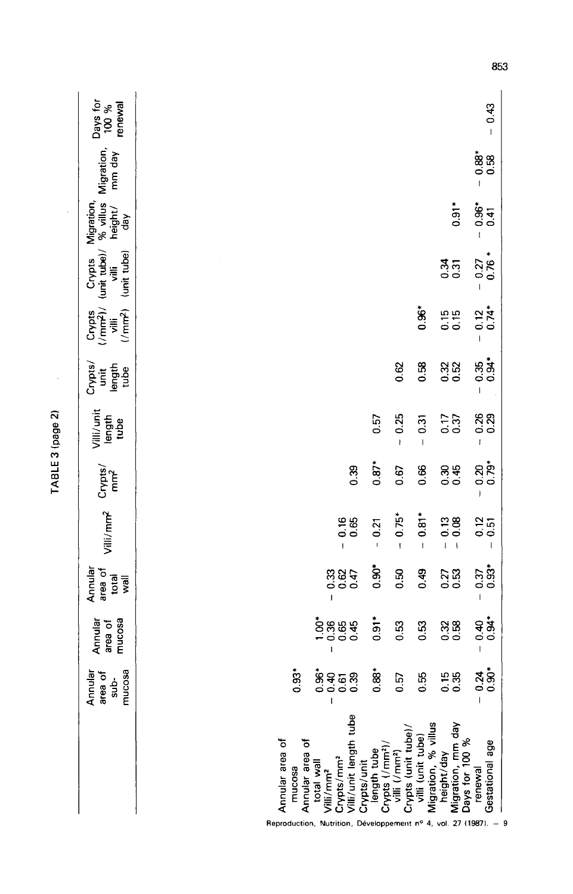| Days for<br>renewal<br>100%                  | 0.43<br>$\overline{1}$                                                                                                                                                                                                                                                                                                                                                                                                                                                                                           |
|----------------------------------------------|------------------------------------------------------------------------------------------------------------------------------------------------------------------------------------------------------------------------------------------------------------------------------------------------------------------------------------------------------------------------------------------------------------------------------------------------------------------------------------------------------------------|
| Migration,<br>mm day                         | ន្លៃ<br>೦.೮<br>$\mathbf{I}$                                                                                                                                                                                                                                                                                                                                                                                                                                                                                      |
| Migration,<br>% villus<br>height/<br>day     | $0.96^{*}$<br>0.41<br>$0.91*$<br>$\begin{array}{c} \textbf{\textit{I}}\\ \textbf{\textit{I}} \end{array}$                                                                                                                                                                                                                                                                                                                                                                                                        |
| (unit tube)/<br>(unit tube)<br>Crypts<br>₹   | $-0.27$<br>$0.76$ *<br>ತ್ತ<br>ನೆನ                                                                                                                                                                                                                                                                                                                                                                                                                                                                                |
| $C$ rypts<br>$/(mm^2)/$<br>1/mm <sup>2</sup> | $0.12$<br>$0.74*$<br>$0.96*$<br>0.15<br>$\overline{1}$                                                                                                                                                                                                                                                                                                                                                                                                                                                           |
| Crypts/<br>length<br>tube                    | 0.35<br>0.34<br>0.52<br>0.52<br>0.62<br>0.58<br>$\begin{array}{c} \begin{array}{c} \end{array} \end{array}$                                                                                                                                                                                                                                                                                                                                                                                                      |
| Villi/unit<br>length<br>tube                 | <b>្រុ</b><br>0.29<br>$-0.25$<br>0.57<br>0.37<br>0.37<br>0.31<br>$\overline{1}$                                                                                                                                                                                                                                                                                                                                                                                                                                  |
| Crypts/                                      | ನ್ಸ್<br>೦೦<br>$0.87*$<br>0.66<br>88<br>0.45<br>8.0<br>0.67<br>$\mathfrak l$                                                                                                                                                                                                                                                                                                                                                                                                                                      |
| Villi/mm <sup>2</sup>                        | $-0.81*$<br>$-0.75*$<br>$-0.16$<br>$0.65$<br>$-0.13$<br>$-0.08$<br>$\frac{25}{0.51}$<br>0.21<br>$\overline{\phantom{a}}$                                                                                                                                                                                                                                                                                                                                                                                         |
| Annulai<br>area of<br>total                  | $0.37$<br>$0.93*$<br>$0.90*$<br>0.50<br>0.49<br>និង<br>ប្អូនដំ<br>0.53<br>$\overline{1}$                                                                                                                                                                                                                                                                                                                                                                                                                         |
| mucosa<br>Annular<br>area of                 | $\frac{9}{3}$<br>$0.91$ <sup>*</sup><br>$8880 - 600$<br>0.45<br>0.53<br>0.53<br>38<br>0.88<br>$\overline{1}$<br>$\mathbf{I}$                                                                                                                                                                                                                                                                                                                                                                                     |
| mucosa<br>Annular<br>area of<br>sub-         | $0.88$ <sup>*</sup><br>0.24<br>$0.93*$<br>$0.96*$<br>០ 35<br>០ ១<br>0.61<br>0.55<br>0.39<br>0.57<br>$\overline{\phantom{a}}$<br>$\begin{array}{c} \rule{0pt}{2.5ex} \rule{0pt}{2.5ex} \rule{0pt}{2.5ex} \rule{0pt}{2.5ex} \rule{0pt}{2.5ex} \rule{0pt}{2.5ex} \rule{0pt}{2.5ex} \rule{0pt}{2.5ex} \rule{0pt}{2.5ex} \rule{0pt}{2.5ex} \rule{0pt}{2.5ex} \rule{0pt}{2.5ex} \rule{0pt}{2.5ex} \rule{0pt}{2.5ex} \rule{0pt}{2.5ex} \rule{0pt}{2.5ex} \rule{0pt}{2.5ex} \rule{0pt}{2.5ex} \rule{0pt}{2.5ex} \rule{0$ |
|                                              | Annular area of<br>total wall<br>villi/mm <sup>2</sup><br>Crypts/mm <sup>2</sup><br>Crypts/mm <sup>2</sup><br>Cliviat length tube<br>Chili (/mm <sup>2</sup> )<br>Crypts (/mm <sup>2)</sup><br>Crypts (/mm <sup>2)</sup><br>Crypts (unit tube)/<br>Willi (unit tube)<br>Williston, % villus<br>Migration, % villus<br><br>Annular area of<br>Gestational age<br>mucosa<br>Reproduction, Nutrition, Développement nº 4, vol. 27 (1987).                                                                           |

TABLE 3 (page 2)

853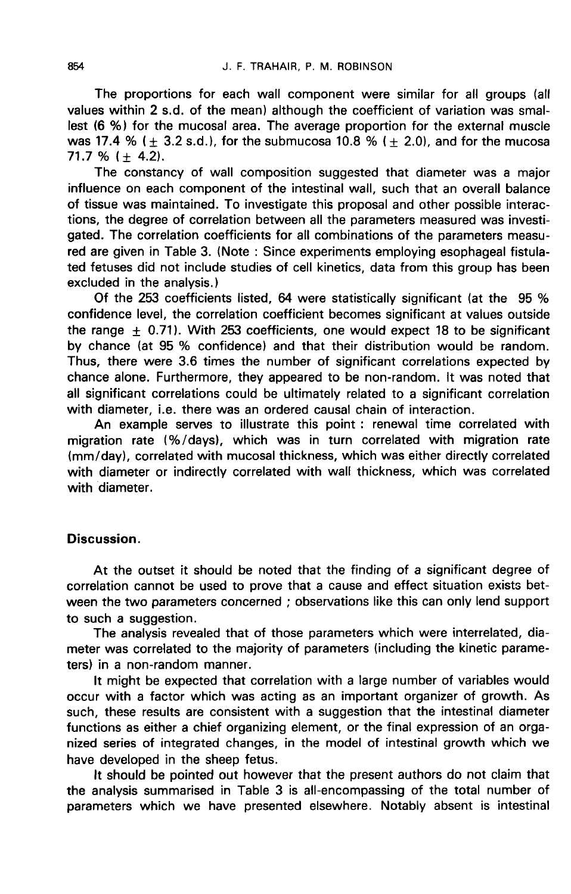The proportions for each wall component were similar for all groups (all values within 2 s.d. of the mean) although the coefficient of variation was smallest (6 %) for the mucosal area. The average proportion for the external muscle was 17.4 %  $(+ 3.2 \text{ s.d.})$ , for the submucosa 10.8 %  $(+ 2.0)$ , and for the mucosa  $71.7 % (+ 4.2).$ 

The constancy of wall composition suggested that diameter was a major influence on each component of the intestinal wall, such that an overall balance of tissue was maintained. To investigate this proposal and other possible interactions, the degree of correlation between all the parameters measured was investigated. The correlation coefficients for all combinations of the parameters measured are given in Table 3. (Note : Since experiments employing esophageal fistulated fetuses did not include studies of cell kinetics, data from this group has been excluded in the analysis.)

Of the 253 coefficients listed, 64 were statistically significant (at the 95 % confidence level, the correlation coefficient becomes significant at values outside the range  $+$  0.71). With 253 coefficients, one would expect 18 to be significant by chance (at 95 % confidence) and that their distribution would be random. Thus, there were 3.6 times the number of significant correlations expected by chance alone. Furthermore, they appeared to be non-random. It was noted that all significant correlations could be ultimately related to a significant correlation with diameter, i.e. there was an ordered causal chain of interaction.

An example serves to illustrate this point : renewal time correlated with migration rate (%/days), which was in turn correlated with migration rate (mm/day), correlated with mucosal thickness, which was either directly correlated with diameter or indirectly correlated with wall thickness, which was correlated with diameter.

# Discussion.

At the outset it should be noted that the finding of a significant degree of correlation cannot be used to prove that a cause and effect situation exists between the two parameters concerned ; observations like this can only lend support to such a suggestion.

The analysis revealed that of those parameters which were interrelated, diameter was correlated to the majority of parameters (including the kinetic parameters) in a non-random manner.

It might be expected that correlation with a large number of variables would occur with a factor which was acting as an important organizer of growth. As such, these results are consistent with a suggestion that the intestinal diameter functions as either a chief organizing element, or the final expression of an organized series of integrated changes, in the model of intestinal growth which we have developed in the sheep fetus.

It should be pointed out however that the present authors do not claim that the analysis summarised in Table 3 is all-encompassing of the total number of parameters which we have presented elsewhere. Notably absent is intestinal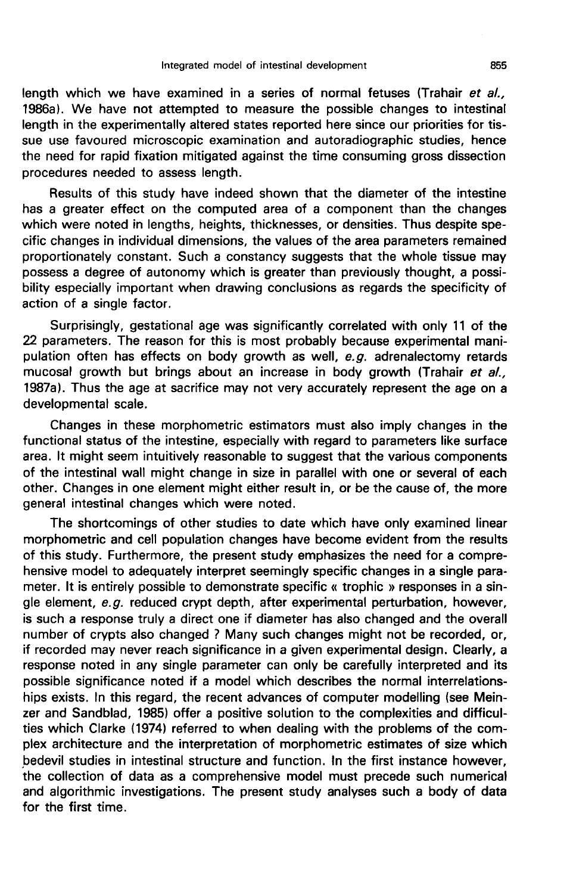length which we have examined in a series of normal fetuses (Trahair et al., 1986a). We have not attempted to measure the possible changes to intestinal length in the experimentally altered states reported here since our priorities for tissue use favoured microscopic examination and autoradiographic studies, hence the need for rapid fixation mitigated against the time consuming gross dissection procedures needed to assess length.

Results of this study have indeed shown that the diameter of the intestine has a greater effect on the computed area of a component than the changes which were noted in lengths, heights, thicknesses, or densities. Thus despite specific changes in individual dimensions, the values of the area parameters remained proportionately constant. Such a constancy suggests that the whole tissue may possess a degree of autonomy which is greater than previously thought, a possibility especially important when drawing conclusions as regards the specificity of action of a single factor.

Surprisingly, gestational age was significantly correlated with only 11 of the 22 parameters. The reason for this is most probably because experimental manipulation often has effects on body growth as well, e.g. adrenalectomy retards mucosal growth but brings about an increase in body growth (Trahair et al., 1987a). Thus the age at sacrifice may not very accurately represent the age on a developmental scale.

Changes in these morphometric estimators must also imply changes in the functional status of the intestine, especially with regard to parameters like surface area. It might seem intuitively reasonable to suggest that the various components of the intestinal wall might change in size in parallel with one or several of each other. Changes in one element might either result in, or be the cause of, the more general intestinal changes which were noted.

The shortcomings of other studies to date which have only examined linear morphometric and cell population changes have become evident from the results of this study. Furthermore, the present study emphasizes the need for a comprehensive model to adequately interpret seemingly specific changes in a single parameter. It is entirely possible to demonstrate specific « trophic » responses in a single element, e.g. reduced crypt depth, after experimental perturbation, however, is such a response truly a direct one if diameter has also changed and the overall number of crypts also changed ? Many such changes might not be recorded, or, if recorded may never reach significance in a given experimental design. Clearly, a response noted in any single parameter can only be carefully interpreted and its possible significance noted if a model which describes the normal interrelationships exists. In this regard, the recent advances of computer modelling (see Meinzer and Sandblad, 1985) offer a positive solution to the complexities and difficulties which Clarke (1974) referred to when dealing with the problems of the complex architecture and the interpretation of morphometric estimates of size which bedevil studies in intestinal structure and function. In the first instance however, the collection of data as a comprehensive model must precede such numerical and algorithmic investigations. The present study analyses such a body of data for the first time.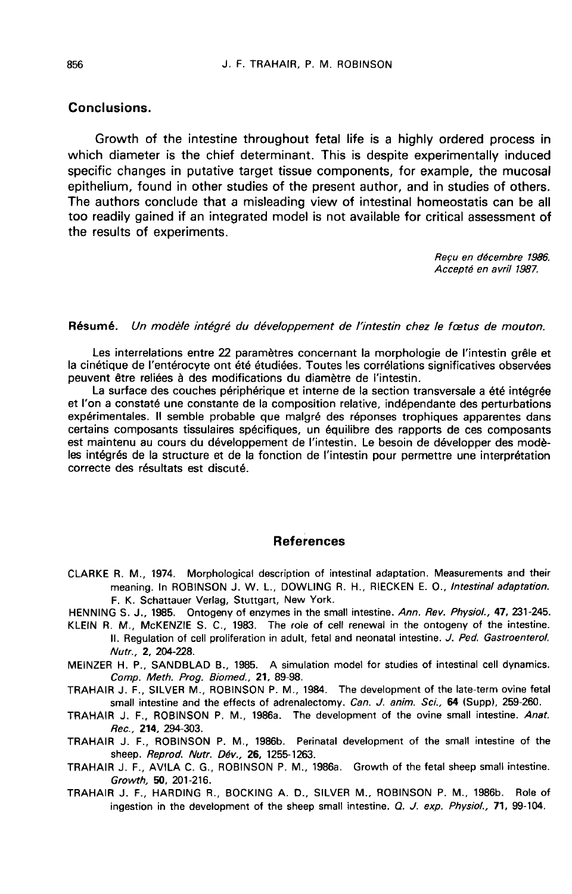## Conclusions.

Growth of the intestine throughout fetal life is a highly ordered process in which diameter is the chief determinant. This is despite experimentally induced specific changes in putative target tissue components, for example, the mucosal epithelium, found in other studies of the present author, and in studies of others. The authors conclude that a misleading view of intestinal homeostatis can be all too readily gained if an integrated model is not available for critical assessment of the results of experiments.

> Recu en décembre 1986. Accepté en avril 1987.

#### Résumé. Un modèle intégré du développement de l'intestin chez le fœtus de mouton.

Les interrelations entre 22 paramètres concernant la morphologie de l'intestin grêle et la cinétique de l'entérocyte ont été étudiées. Toutes les corrélations significatives observées peuvent être reliées à des modifications du diamètre de l'intestin.

La surface des couches périphérique et interne de la section transversale a été intégrée et l'on a constaté une constante de la composition relative, indépendante des perturbations expérimentales. Il semble probable que malgré des réponses trophiques apparentes dans certains composants tissulaires spécifiques, un équilibre des rapports de ces composants est maintenu au cours du développement de l'intestin. Le besoin de développer des modèles intégrés de la structure et de la fonction de l'intestin pour permettre une interprétation correcte des résultats est discuté.

### References

CLARKE R. M., 1974. Morphological description of intestinal adaptation. Measurements and their meaning. In ROBINSON J. W. L., DOWLING R. H., RIECKEN E. O., Intestinal adaptation.<br>F. K. Schattauer Verlag, Stuttgart, New York.

HENNING S. J., 1985. Ontogeny of enzymes in the small intestine. Ann. Rev. Physiol., 47, 231-245.

KLEIN R. M., McKENZIE S. C., 1983. The role of cell renewal in the ontogeny of the intestine. II. Regulation of cell proliferation in adult, fetal and neonatal intestine. J. Ped. Gastroenterol. Nutr., 2, 204-228.

MEINZER H. P., SANDBLAD B., 1985. A simulation model for studies of intestinal cell dynamics. Comp. Meth. Prog. Biomed., 21, 89-98.

TRAHAIR J. F., SILVER M., ROBINSON P. M., 1984. The development of the late-term ovine fetal small intestine and the effects of adrenalectomy. Can. J. anim. Sci., 64 (Supp), 259-260.

TRAHAIR J. F., ROBINSON P. M., 1986a. The development of the ovine small intestine. Anat. Rec., 214, 294-303.

TRAHAIR J. F., ROBINSON P. M., 1986b. Perinatal development of the small intestine of the sheep. Reprod. Nutr. Dév., 26, 1255-1263.

TRAHAIR J. F., AVILA C. G., ROBINSON P. M., 1986a. Growth of the fetal sheep small intestine. Growth, 50, 201-216.

TRAHAIR J. F., HARDING R., BOCKING A. D., SILVER M., ROBINSON P. M., 1986b. Role of ingestion in the development of the sheep small intestine. Q. J. exp. Physiol., 71, 99-104.